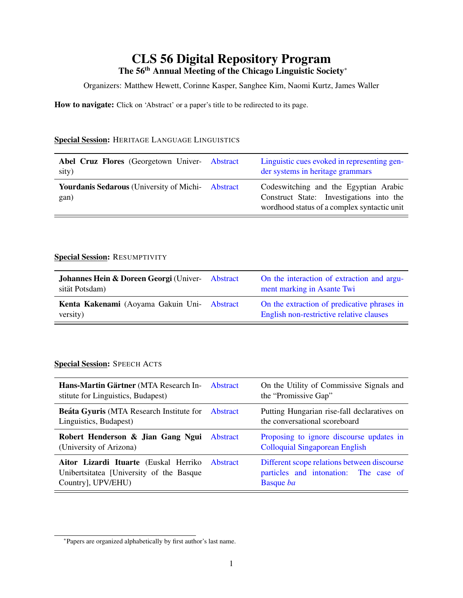# CLS 56 Digital Repository Program The 56<sup>th</sup> Annual Meeting of the Chicago Linguistic Society<sup>∗</sup>

Organizers: Matthew Hewett, Corinne Kasper, Sanghee Kim, Naomi Kurtz, James Waller

How to navigate: Click on 'Abstract' or a paper's title to be redirected to its page.

#### Special Session: HERITAGE LANGUAGE LINGUISTICS

| Abel Cruz Flores (Georgetown Univer- Abstract<br>sity)           | Linguistic cues evoked in representing gen-<br>der systems in heritage grammars                                                  |
|------------------------------------------------------------------|----------------------------------------------------------------------------------------------------------------------------------|
| <b>Yourdanis Sedarous</b> (University of Michi- Abstract<br>gan) | Codeswitching and the Egyptian Arabic<br>Construct State: Investigations into the<br>wordhood status of a complex syntactic unit |

#### Special Session: RESUMPTIVITY

| <b>Johannes Hein &amp; Doreen Georgi</b> (Univer- Abstract<br>sität Potsdam) | On the interaction of extraction and argu-<br>ment marking in Asante Twi                |
|------------------------------------------------------------------------------|-----------------------------------------------------------------------------------------|
| Kenta Kakenami (Aoyama Gakuin Uni- Abstract<br>versity)                      | On the extraction of predicative phrases in<br>English non-restrictive relative clauses |

#### Special Session: SPEECH ACTS

| Hans-Martin Gärtner (MTA Research In- Abstract<br>stitute for Linguistics, Budapest)                             | On the Utility of Commissive Signals and<br>the "Promissive Gap"                                         |
|------------------------------------------------------------------------------------------------------------------|----------------------------------------------------------------------------------------------------------|
| <b>Beáta Gyuris (MTA Research Institute for Abstract</b><br>Linguistics, Budapest)                               | Putting Hungarian rise-fall declaratives on<br>the conversational scoreboard                             |
| Robert Henderson & Jian Gang Ngui Abstract<br>(University of Arizona)                                            | Proposing to ignore discourse updates in<br><b>Colloquial Singaporean English</b>                        |
| Aitor Lizardi Ituarte (Euskal Herriko Abstract<br>Unibertsitatea [University of the Basque<br>Country], UPV/EHU) | Different scope relations between discourse<br>particles and intonation: The case of<br><b>Basque</b> ba |

<sup>∗</sup> Papers are organized alphabetically by first author's last name.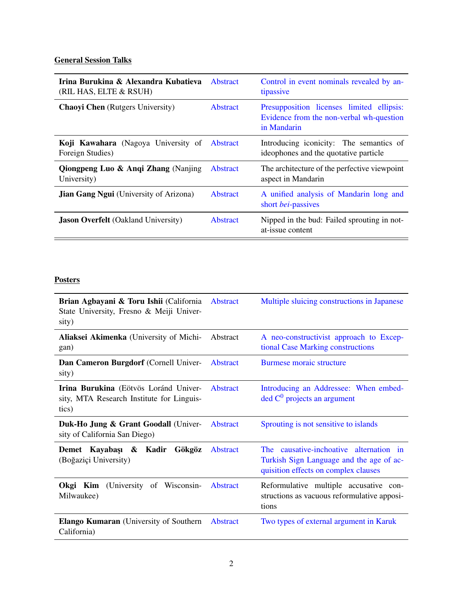## **General Session Talks**

| Irina Burukina & Alexandra Kubatieva<br>(RIL HAS, ELTE & RSUH) | <b>Abstract</b> | Control in event nominals revealed by an-<br>tipassive                                               |
|----------------------------------------------------------------|-----------------|------------------------------------------------------------------------------------------------------|
| <b>Chaoyi Chen</b> (Rutgers University)                        | <b>Abstract</b> | Presupposition licenses limited ellipsis:<br>Evidence from the non-verbal wh-question<br>in Mandarin |
| Koji Kawahara (Nagoya University of<br>Foreign Studies)        | Abstract        | Introducing iconicity: The semantics of<br>ideophones and the quotative particle                     |
| <b>Qiongpeng Luo &amp; Angi Zhang (Nanjing)</b><br>University) | Abstract        | The architecture of the perfective viewpoint<br>aspect in Mandarin                                   |
| <b>Jian Gang Ngui</b> (University of Arizona)                  | <b>Abstract</b> | A unified analysis of Mandarin long and<br>short bei-passives                                        |
| <b>Jason Overfelt</b> (Oakland University)                     | <b>Abstract</b> | Nipped in the bud: Failed sprouting in not-<br>at-issue content                                      |

### **Posters**

| Brian Agbayani & Toru Ishii (California<br>State University, Fresno & Meiji Univer-<br>sity) | Abstract        | Multiple sluicing constructions in Japanese                                                                                 |
|----------------------------------------------------------------------------------------------|-----------------|-----------------------------------------------------------------------------------------------------------------------------|
| Aliaksei Akimenka (University of Michi-<br>gan)                                              | Abstract        | A neo-constructivist approach to Excep-<br>tional Case Marking constructions                                                |
| Dan Cameron Burgdorf (Cornell Univer-<br>sity)                                               | <b>Abstract</b> | <b>Burmese moraic structure</b>                                                                                             |
| Irina Burukina (Eötvös Loránd Univer-<br>sity, MTA Research Institute for Linguis-<br>tics)  | Abstract        | Introducing an Addressee: When embed-<br>$\text{ded } C^0$ projects an argument                                             |
| Duk-Ho Jung & Grant Goodall (Univer-<br>sity of California San Diego)                        | Abstract        | Sprouting is not sensitive to islands                                                                                       |
| Demet Kayabaşı & Kadir<br>Gökgöz<br>(Boğaziçi University)                                    | Abstract        | The causative-inchoative alternation in<br>Turkish Sign Language and the age of ac-<br>quisition effects on complex clauses |
| (University of Wisconsin-<br>Okgi Kim<br>Milwaukee)                                          | Abstract        | Reformulative multiple accusative con-<br>structions as vacuous reformulative apposi-<br>tions                              |
| <b>Elango Kumaran</b> (University of Southern)<br>California)                                | Abstract        | Two types of external argument in Karuk                                                                                     |